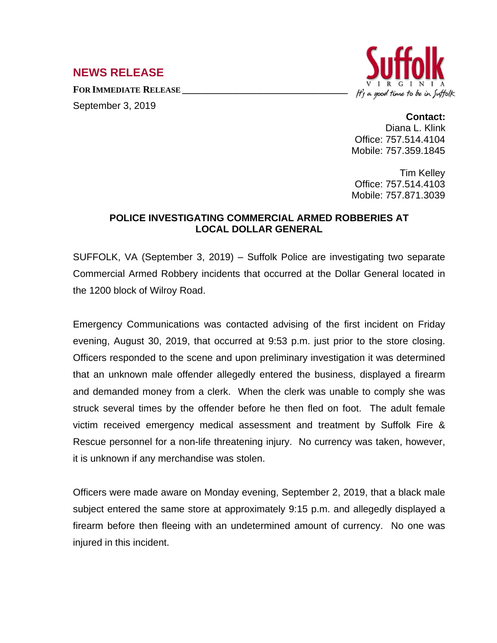## **NEWS RELEASE**

**FOR IMMEDIATE RELEASE \_\_\_\_\_\_\_\_\_\_\_\_\_\_\_\_\_\_\_\_\_\_\_\_\_\_\_\_\_\_\_\_\_\_** September 3, 2019



## **Contact:**

Diana L. Klink Office: 757.514.4104 Mobile: 757.359.1845

Tim Kelley Office: 757.514.4103 Mobile: 757.871.3039

## **POLICE INVESTIGATING COMMERCIAL ARMED ROBBERIES AT LOCAL DOLLAR GENERAL**

SUFFOLK, VA (September 3, 2019) – Suffolk Police are investigating two separate Commercial Armed Robbery incidents that occurred at the Dollar General located in the 1200 block of Wilroy Road.

Emergency Communications was contacted advising of the first incident on Friday evening, August 30, 2019, that occurred at 9:53 p.m. just prior to the store closing. Officers responded to the scene and upon preliminary investigation it was determined that an unknown male offender allegedly entered the business, displayed a firearm and demanded money from a clerk. When the clerk was unable to comply she was struck several times by the offender before he then fled on foot. The adult female victim received emergency medical assessment and treatment by Suffolk Fire & Rescue personnel for a non-life threatening injury. No currency was taken, however, it is unknown if any merchandise was stolen.

Officers were made aware on Monday evening, September 2, 2019, that a black male subject entered the same store at approximately 9:15 p.m. and allegedly displayed a firearm before then fleeing with an undetermined amount of currency. No one was injured in this incident.